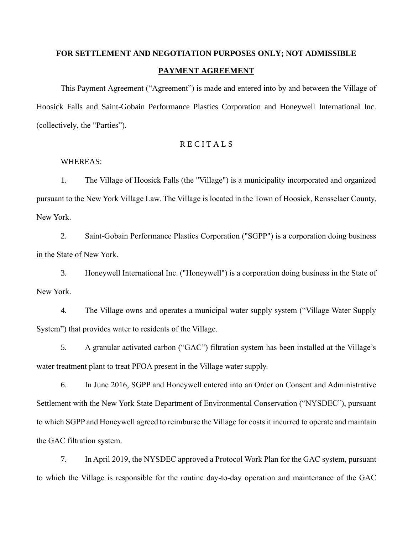# **FOR SETTLEMENT AND NEGOTIATION PURPOSES ONLY; NOT ADMISSIBLE PAYMENT AGREEMENT**

This Payment Agreement ("Agreement") is made and entered into by and between the Village of Hoosick Falls and Saint-Gobain Performance Plastics Corporation and Honeywell International Inc. (collectively, the "Parties").

# **RECITALS**

#### WHEREAS:

1. The Village of Hoosick Falls (the "Village") is a municipality incorporated and organized pursuant to the New York Village Law. The Village is located in the Town of Hoosick, Rensselaer County, New York.

2. Saint-Gobain Performance Plastics Corporation ("SGPP") is a corporation doing business in the State of New York.

3. Honeywell International Inc. ("Honeywell") is a corporation doing business in the State of New York.

4. The Village owns and operates a municipal water supply system ("Village Water Supply System") that provides water to residents of the Village.

5. A granular activated carbon ("GAC") filtration system has been installed at the Village's water treatment plant to treat PFOA present in the Village water supply.

6. In June 2016, SGPP and Honeywell entered into an Order on Consent and Administrative Settlement with the New York State Department of Environmental Conservation ("NYSDEC"), pursuant to which SGPP and Honeywell agreed to reimburse the Village for costs it incurred to operate and maintain the GAC filtration system.

7. In April 2019, the NYSDEC approved a Protocol Work Plan for the GAC system, pursuant to which the Village is responsible for the routine day-to-day operation and maintenance of the GAC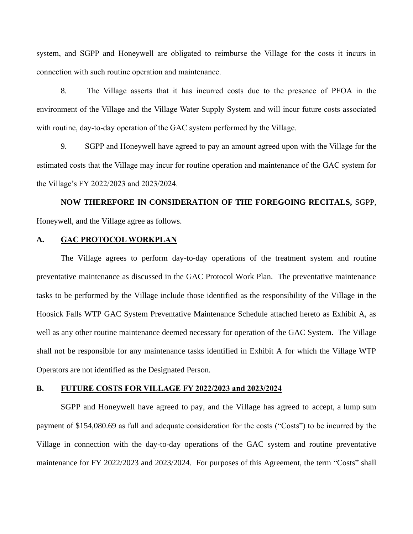system, and SGPP and Honeywell are obligated to reimburse the Village for the costs it incurs in connection with such routine operation and maintenance.

8. The Village asserts that it has incurred costs due to the presence of PFOA in the environment of the Village and the Village Water Supply System and will incur future costs associated with routine, day-to-day operation of the GAC system performed by the Village.

9. SGPP and Honeywell have agreed to pay an amount agreed upon with the Village for the estimated costs that the Village may incur for routine operation and maintenance of the GAC system for the Village's FY 2022/2023 and 2023/2024.

**NOW THEREFORE IN CONSIDERATION OF THE FOREGOING RECITALS,** SGPP, Honeywell, and the Village agree as follows.

#### **A. GAC PROTOCOL WORKPLAN**

The Village agrees to perform day-to-day operations of the treatment system and routine preventative maintenance as discussed in the GAC Protocol Work Plan. The preventative maintenance tasks to be performed by the Village include those identified as the responsibility of the Village in the Hoosick Falls WTP GAC System Preventative Maintenance Schedule attached hereto as Exhibit A, as well as any other routine maintenance deemed necessary for operation of the GAC System. The Village shall not be responsible for any maintenance tasks identified in Exhibit A for which the Village WTP Operators are not identified as the Designated Person.

#### **B. FUTURE COSTS FOR VILLAGE FY 2022/2023 and 2023/2024**

SGPP and Honeywell have agreed to pay, and the Village has agreed to accept, a lump sum payment of \$154,080.69 as full and adequate consideration for the costs ("Costs") to be incurred by the Village in connection with the day-to-day operations of the GAC system and routine preventative maintenance for FY 2022/2023 and 2023/2024. For purposes of this Agreement, the term "Costs" shall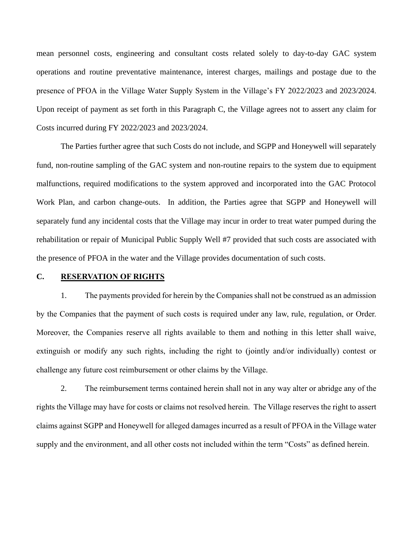mean personnel costs, engineering and consultant costs related solely to day-to-day GAC system operations and routine preventative maintenance, interest charges, mailings and postage due to the presence of PFOA in the Village Water Supply System in the Village's FY 2022/2023 and 2023/2024. Upon receipt of payment as set forth in this Paragraph C, the Village agrees not to assert any claim for Costs incurred during FY 2022/2023 and 2023/2024.

The Parties further agree that such Costs do not include, and SGPP and Honeywell will separately fund, non-routine sampling of the GAC system and non-routine repairs to the system due to equipment malfunctions, required modifications to the system approved and incorporated into the GAC Protocol Work Plan, and carbon change-outs. In addition, the Parties agree that SGPP and Honeywell will separately fund any incidental costs that the Village may incur in order to treat water pumped during the rehabilitation or repair of Municipal Public Supply Well #7 provided that such costs are associated with the presence of PFOA in the water and the Village provides documentation of such costs.

#### **C. RESERVATION OF RIGHTS**

1. The payments provided for herein by the Companies shall not be construed as an admission by the Companies that the payment of such costs is required under any law, rule, regulation, or Order. Moreover, the Companies reserve all rights available to them and nothing in this letter shall waive, extinguish or modify any such rights, including the right to (jointly and/or individually) contest or challenge any future cost reimbursement or other claims by the Village.

2. The reimbursement terms contained herein shall not in any way alter or abridge any of the rights the Village may have for costs or claims not resolved herein. The Village reserves the right to assert claims against SGPP and Honeywell for alleged damages incurred as a result of PFOA in the Village water supply and the environment, and all other costs not included within the term "Costs" as defined herein.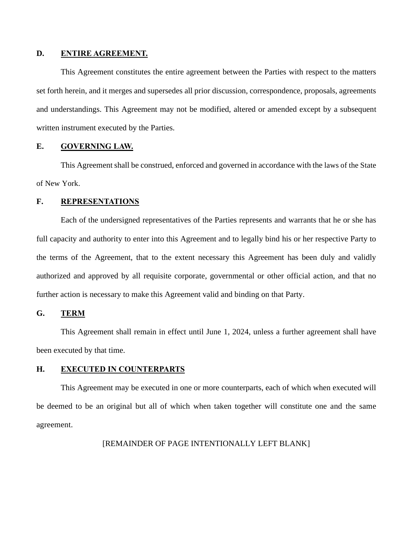# **D. ENTIRE AGREEMENT.**

This Agreement constitutes the entire agreement between the Parties with respect to the matters set forth herein, and it merges and supersedes all prior discussion, correspondence, proposals, agreements and understandings. This Agreement may not be modified, altered or amended except by a subsequent written instrument executed by the Parties.

### **E. GOVERNING LAW.**

This Agreement shall be construed, enforced and governed in accordance with the laws of the State of New York.

#### **F. REPRESENTATIONS**

Each of the undersigned representatives of the Parties represents and warrants that he or she has full capacity and authority to enter into this Agreement and to legally bind his or her respective Party to the terms of the Agreement, that to the extent necessary this Agreement has been duly and validly authorized and approved by all requisite corporate, governmental or other official action, and that no further action is necessary to make this Agreement valid and binding on that Party.

# **G. TERM**

This Agreement shall remain in effect until June 1, 2024, unless a further agreement shall have been executed by that time.

# **H. EXECUTED IN COUNTERPARTS**

This Agreement may be executed in one or more counterparts, each of which when executed will be deemed to be an original but all of which when taken together will constitute one and the same agreement.

[REMAINDER OF PAGE INTENTIONALLY LEFT BLANK]